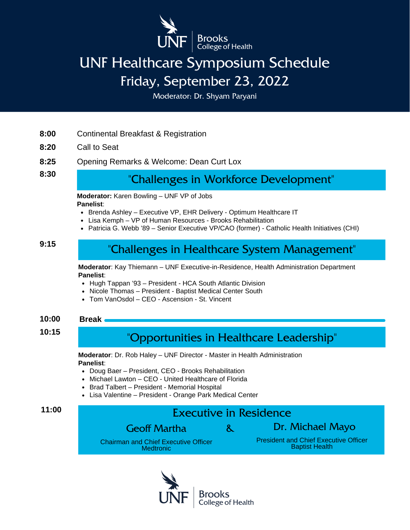

# UNF Healthcare Symposium Schedule Friday, September 23, 2022

Moderator: Dr. Shyam Paryani

#### **8:00** Continental Breakfast & Registration

- **8:20** Call to Seat
- **8:25** Opening Remarks & Welcome: Dean Curt Lox

**8:30**

## "Challenges in Workforce Development"

**Moderator:** Karen Bowling – UNF VP of Jobs **Panelist**:

- Brenda Ashley Executive VP, EHR Delivery Optimum Healthcare IT
- Lisa Kemph VP of Human Resources Brooks Rehabilitation
- Patricia G. Webb '89 Senior Executive VP/CAO (former) Catholic Health Initiatives (CHI)

#### **9:15**

## "Challenges in Healthcare System Management"

**Moderator**: Kay Thiemann – UNF Executive-in-Residence, Health Administration Department **Panelist**:

- Hugh Tappan '93 President HCA South Atlantic Division
- Nicole Thomas President Baptist Medical Center South
- Tom VanOsdol CEO Ascension St. Vincent

#### **Break 10:00**

## **10:15** "Opportunities in Healthcare Leadership"

**Moderator**: Dr. Rob Haley – UNF Director - Master in Health Administration **Panelist**:

- Doug Baer President, CEO Brooks Rehabilitation
- Michael Lawton CEO United Healthcare of Florida
- Brad Talbert President Memorial Hospital
- Lisa Valentine President Orange Park Medical Center

## **11:00** Executive in Residence

Geoff Martha

&

Dr. Michael Mayo

Chairman and Chief Executive Officer **Medtronic** 

President and Chief Executive Officer Baptist Health

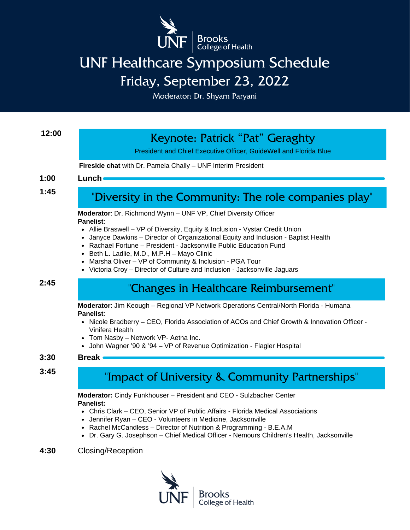

# UNF Healthcare Symposium Schedule Friday, September 23, 2022

Moderator: Dr. Shyam Paryani

### **12:00**

## Keynote: Patrick "Pat" Geraghty

President and Chief Executive Officer, GuideWell and Florida Blue

#### **Fireside chat** with Dr. Pamela Chally – UNF Interim President

### **1:00 Lunch**

**1:45**

## "Diversity in the Community: The role companies play"

**Moderator**: Dr. Richmond Wynn – UNF VP, Chief Diversity Officer **Panelist**:

- Allie Braswell VP of Diversity, Equity & Inclusion Vystar Credit Union
- Janyce Dawkins Director of Organizational Equity and Inclusion Baptist Health
- Rachael Fortune President Jacksonville Public Education Fund
- Beth L. Ladlie, M.D., M.P.H Mayo Clinic
- Marsha Oliver VP of Community & Inclusion PGA Tour
- Victoria Croy Director of Culture and Inclusion Jacksonville Jaguars

#### **2:45**

## "Changes in Healthcare Reimbursement"

**Moderator**: Jim Keough – Regional VP Network Operations Central/North Florida - Humana **Panelist**:

- Nicole Bradberry CEO, Florida Association of ACOs and Chief Growth & Innovation Officer -Vinifera Health
- Tom Nasby Network VP- Aetna Inc.
- John Wagner '90 & '94 VP of Revenue Optimization Flagler Hospital

#### **3:30 Break**

**3:45**

## "Impact of University & Community Partnerships"

**Moderator:** Cindy Funkhouser – President and CEO - Sulzbacher Center **Panelist:**

- Chris Clark CEO, Senior VP of Public Affairs Florida Medical Associations
- Jennifer Ryan CEO Volunteers in Medicine, Jacksonville
- Rachel McCandless Director of Nutrition & Programming B.E.A.M
- Dr. Gary G. Josephson Chief Medical Officer Nemours Children's Health, Jacksonville

#### **4:30** Closing/Reception